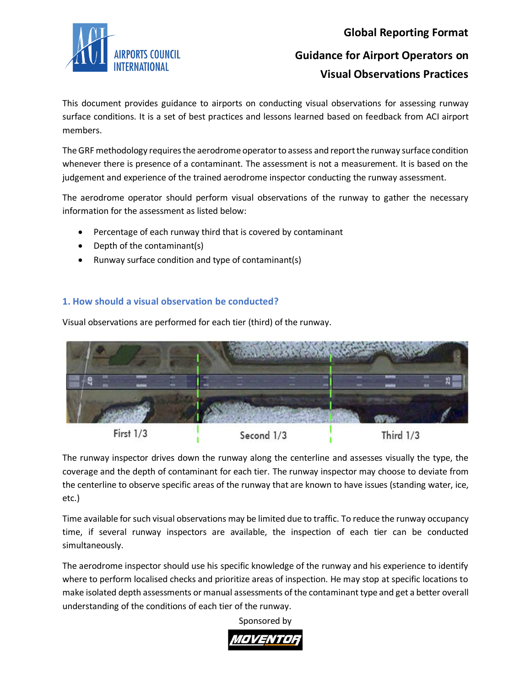

## **Global Reporting Format**

# **Guidance for Airport Operators on Visual Observations Practices**

This document provides guidance to airports on conducting visual observations for assessing runway surface conditions. It is a set of best practices and lessons learned based on feedback from ACI airport members.

The GRF methodology requires the aerodrome operator to assess and report the runway surface condition whenever there is presence of a contaminant. The assessment is not a measurement. It is based on the judgement and experience of the trained aerodrome inspector conducting the runway assessment.

The aerodrome operator should perform visual observations of the runway to gather the necessary information for the assessment as listed below:

- Percentage of each runway third that is covered by contaminant
- Depth of the contaminant(s)
- Runway surface condition and type of contaminant(s)

## **1. How should a visual observation be conducted?**

Visual observations are performed for each tier (third) of the runway.



The runway inspector drives down the runway along the centerline and assesses visually the type, the coverage and the depth of contaminant for each tier. The runway inspector may choose to deviate from the centerline to observe specific areas of the runway that are known to have issues (standing water, ice, etc.)

Time available for such visual observations may be limited due to traffic. To reduce the runway occupancy time, if several runway inspectors are available, the inspection of each tier can be conducted simultaneously.

The aerodrome inspector should use his specific knowledge of the runway and his experience to identify where to perform localised checks and prioritize areas of inspection. He may stop at specific locations to make isolated depth assessments or manual assessments of the contaminant type and get a better overall understanding of the conditions of each tier of the runway.

Sponsored by

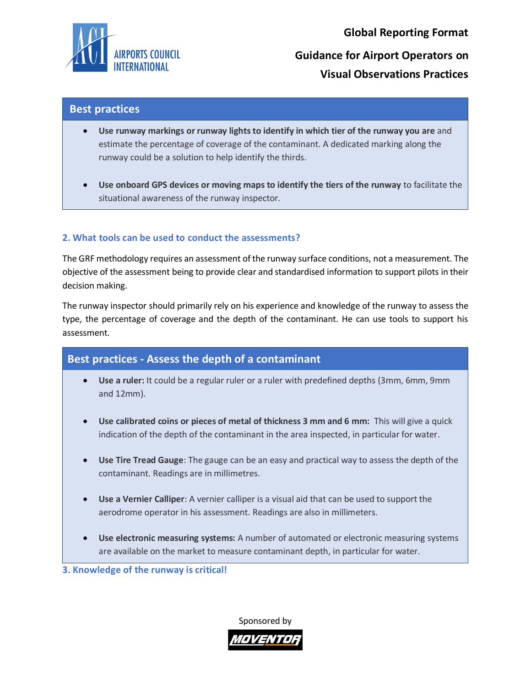

**Global Reporting Format Guidance for Airport Operators on Visual Observations Practices**

## **Best practices**

- **Use runway markings or runway lightsto identify in which tier of the runway you are** and estimate the percentage of coverage of the contaminant. A dedicated marking along the runway could be a solution to help identify the thirds.
- **Use onboard GPS devices or moving maps to identify the tiers of the runway** to facilitate the situational awareness of the runway inspector.

### **2. What tools can be used to conduct the assessments?**

The GRF methodology requires an assessment of the runway surface conditions, not a measurement. The objective of the assessment being to provide clear and standardised information to support pilots in their decision making.

The runway inspector should primarily rely on his experience and knowledge of the runway to assess the type, the percentage of coverage and the depth of the contaminant. He can use tools to support his assessment.

# **Best practices - Assess the depth of a contaminant**

- **Use a ruler:** It could be a regular ruler or a ruler with predefined depths (3mm, 6mm, 9mm and 12mm).
- **Use calibrated coins or pieces of metal of thickness 3 mm and 6 mm:** This will give a quick indication of the depth of the contaminant in the area inspected, in particular for water.
- **Use Tire Tread Gauge**: The gauge can be an easy and practical way to assess the depth of the contaminant. Readings are in millimetres.
- **Use a Vernier Calliper**: A vernier calliper is a visual aid that can be used to support the aerodrome operator in his assessment. Readings are also in millimeters.
- **Use electronic measuring systems:** A number of automated or electronic measuring systems are available on the market to measure contaminant depth, in particular for water.

**3. Knowledge of the runway is critical!** 

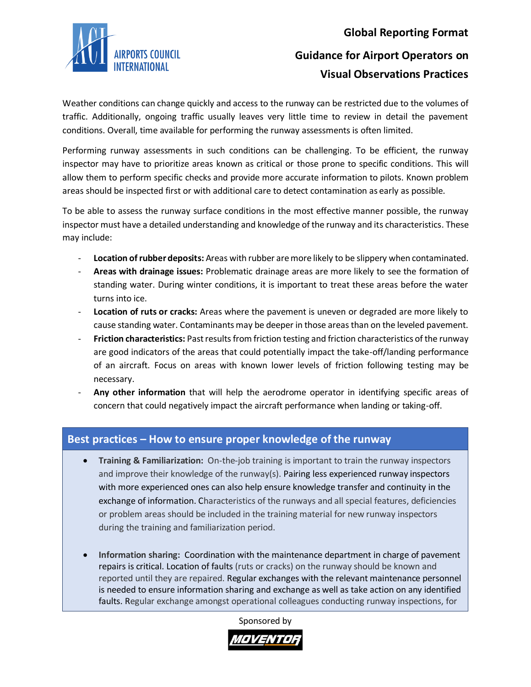



# **Guidance for Airport Operators on Visual Observations Practices**

Weather conditions can change quickly and access to the runway can be restricted due to the volumes of traffic. Additionally, ongoing traffic usually leaves very little time to review in detail the pavement conditions. Overall, time available for performing the runway assessments is often limited.

Performing runway assessments in such conditions can be challenging. To be efficient, the runway inspector may have to prioritize areas known as critical or those prone to specific conditions. This will allow them to perform specific checks and provide more accurate information to pilots. Known problem areas should be inspected first or with additional care to detect contamination as early as possible.

To be able to assess the runway surface conditions in the most effective manner possible, the runway inspector must have a detailed understanding and knowledge of the runway and its characteristics. These may include:

- **Location of rubber deposits:** Areas with rubber are more likely to be slippery when contaminated.
- **Areas with drainage issues:** Problematic drainage areas are more likely to see the formation of standing water. During winter conditions, it is important to treat these areas before the water turns into ice.
- **Location of ruts or cracks:** Areas where the pavement is uneven or degraded are more likely to cause standing water. Contaminants may be deeper in those areas than on the leveled pavement.
- **Friction characteristics:** Past results from friction testing and friction characteristics of the runway are good indicators of the areas that could potentially impact the take-off/landing performance of an aircraft. Focus on areas with known lower levels of friction following testing may be necessary.
- **Any other information** that will help the aerodrome operator in identifying specific areas of concern that could negatively impact the aircraft performance when landing or taking-off.

# **Best practices – How to ensure proper knowledge of the runway**

- **Training & Familiarization:** On-the-job training is important to train the runway inspectors and improve their knowledge of the runway(s). Pairing less experienced runway inspectors with more experienced ones can also help ensure knowledge transfer and continuity in the exchange of information. Characteristics of the runways and all special features, deficiencies or problem areas should be included in the training material for new runway inspectors during the training and familiarization period.
- **Information sharing:** Coordination with the maintenance department in charge of pavement repairs is critical. Location of faults (ruts or cracks) on the runway should be known and reported until they are repaired. Regular exchanges with the relevant maintenance personnel is needed to ensure information sharing and exchange as well as take action on any identified faults. Regular exchange amongst operational colleagues conducting runway inspections, for

Sponsored by

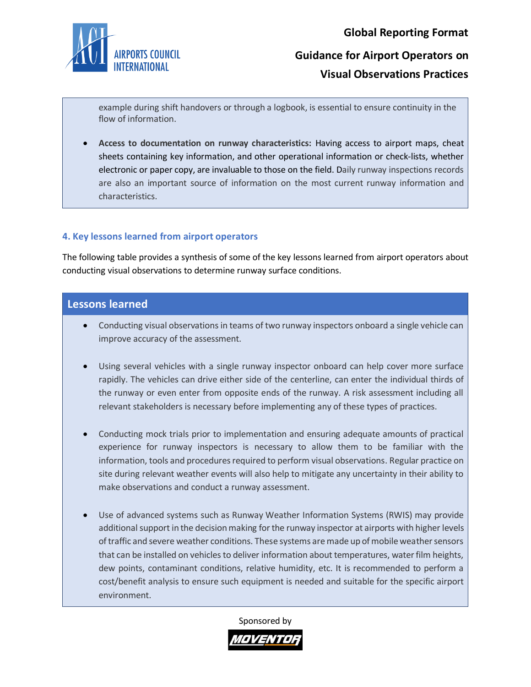

# **Guidance for Airport Operators on Visual Observations Practices**

example during shift handovers or through a logbook, is essential to ensure continuity in the flow of information.

• **Access to documentation on runway characteristics:** Having access to airport maps, cheat sheets containing key information, and other operational information or check-lists, whether electronic or paper copy, are invaluable to those on the field. Daily runway inspections records are also an important source of information on the most current runway information and characteristics.

### **4. Key lessons learned from airport operators**

The following table provides a synthesis of some of the key lessons learned from airport operators about conducting visual observations to determine runway surface conditions.

## **Lessons learned**

- Conducting visual observations in teams of two runway inspectors onboard a single vehicle can improve accuracy of the assessment.
- Using several vehicles with a single runway inspector onboard can help cover more surface rapidly. The vehicles can drive either side of the centerline, can enter the individual thirds of the runway or even enter from opposite ends of the runway. A risk assessment including all relevant stakeholders is necessary before implementing any of these types of practices.
- Conducting mock trials prior to implementation and ensuring adequate amounts of practical experience for runway inspectors is necessary to allow them to be familiar with the information, tools and procedures required to perform visual observations. Regular practice on site during relevant weather events will also help to mitigate any uncertainty in their ability to make observations and conduct a runway assessment.
- Use of advanced systems such as Runway Weather Information Systems (RWIS) may provide additional support in the decision making for the runway inspector at airports with higher levels oftraffic and severe weather conditions. These systems are made up ofmobile weather sensors that can be installed on vehicles to deliver information about temperatures, water film heights, dew points, contaminant conditions, relative humidity, etc. It is recommended to perform a cost/benefit analysis to ensure such equipment is needed and suitable for the specific airport environment.

#### Sponsored by